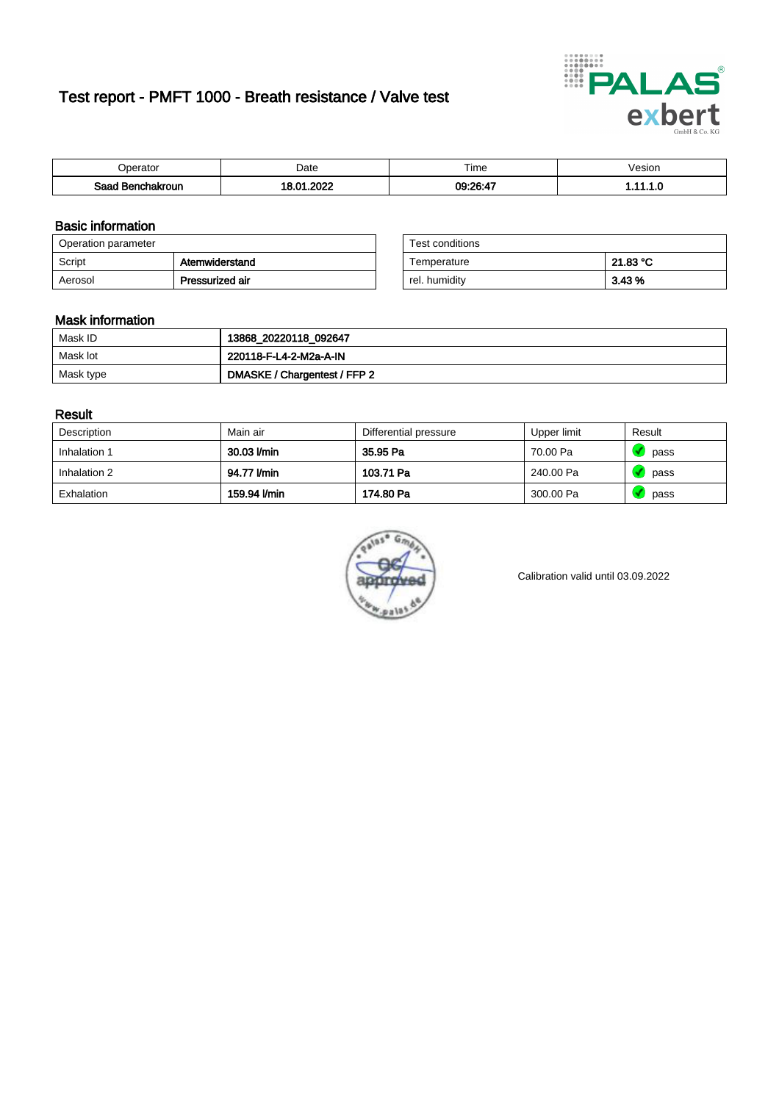# Test report - PMFT 1000 - Breath resistance / Valve test



| <b>Perator</b>                | Date      | $- \cdot$<br>Time | /esion |
|-------------------------------|-----------|-------------------|--------|
| Saad<br><b>nchakroun</b><br>. | റററ<br>Λ. | 09:26:47          | .      |

### Basic information

| Operation parameter |                 | Test conditions |          |
|---------------------|-----------------|-----------------|----------|
| Script              | Atemwiderstand  | Temperature     | 21.83 °C |
| Aerosol             | Pressurized air | rel. humidity   | 3.43 %   |

| Test conditions |          |
|-----------------|----------|
| Temperature     | 21.83 °C |
| rel. humidity   | 3.43%    |

### Mask information

| Mask ID   | 13868_20220118_092647        |
|-----------|------------------------------|
| Mask lot  | 220118-F-L4-2-M2a-A-IN       |
| Mask type | DMASKE / Chargentest / FFP 2 |

### Result

| Description  | Main air     | Differential pressure | Upper limit | Result |
|--------------|--------------|-----------------------|-------------|--------|
| Inhalation 1 | 30.03 l/min  | 35.95 Pa              | 70.00 Pa    | pass   |
| Inhalation 2 | 94.77 l/min  | 103.71 Pa             | 240.00 Pa   | pass   |
| Exhalation   | 159.94 l/min | 174.80 Pa             | 300.00 Pa   | pass   |



Calibration valid until 03.09.2022